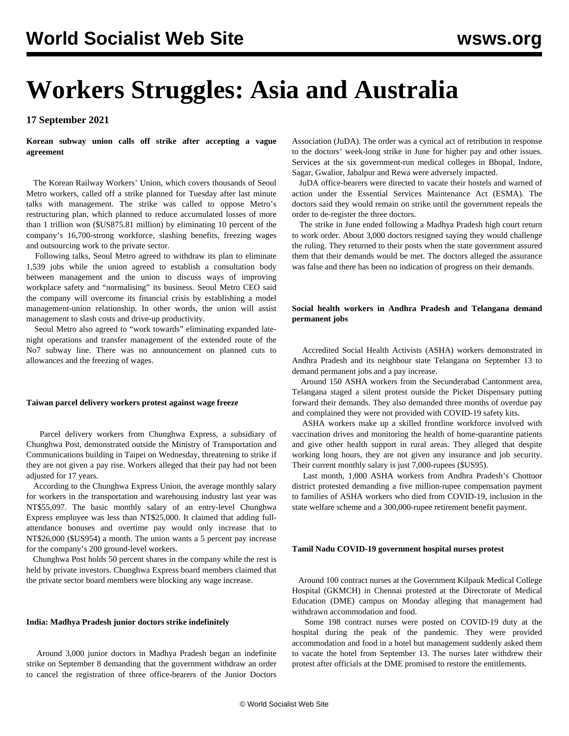# **Workers Struggles: Asia and Australia**

# **17 September 2021**

**Korean subway union calls off strike after accepting a vague agreement**

 The Korean Railway Workers' Union, which covers thousands of Seoul Metro workers, called off a strike planned for Tuesday after last minute talks with management. The strike was called to oppose Metro's restructuring plan, which planned to reduce accumulated losses of more than 1 trillion won (\$US875.81 million) by eliminating 10 percent of the company's 16,700-strong workforce, slashing benefits, freezing wages and outsourcing work to the private sector.

 Following talks, Seoul Metro agreed to withdraw its plan to eliminate 1,539 jobs while the union agreed to establish a consultation body between management and the union to discuss ways of improving workplace safety and "normalising" its business. Seoul Metro CEO said the company will overcome its financial crisis by establishing a model management-union relationship. In other words, the union will assist management to slash costs and drive-up productivity.

 Seoul Metro also agreed to "work towards" eliminating expanded latenight operations and transfer management of the extended route of the No7 subway line. There was no announcement on planned cuts to allowances and the freezing of wages.

#### **Taiwan parcel delivery workers protest against wage freeze**

 Parcel delivery workers from Chunghwa Express, a subsidiary of Chunghwa Post, demonstrated outside the Ministry of Transportation and Communications building in Taipei on Wednesday, threatening to strike if they are not given a pay rise. Workers alleged that their pay had not been adjusted for 17 years.

 According to the Chunghwa Express Union, the average monthly salary for workers in the transportation and warehousing industry last year was NT\$55,097. The basic monthly salary of an entry-level Chunghwa Express employee was less than NT\$25,000. It claimed that adding fullattendance bonuses and overtime pay would only increase that to NT\$26,000 (\$US954) a month. The union wants a 5 percent pay increase for the company's 200 ground-level workers.

 Chunghwa Post holds 50 percent shares in the company while the rest is held by private investors. Chunghwa Express board members claimed that the private sector board members were blocking any wage increase.

#### **India: Madhya Pradesh junior doctors strike indefinitely**

 Around 3,000 junior doctors in Madhya Pradesh began an indefinite strike on September 8 demanding that the government withdraw an order to cancel the registration of three office-bearers of the Junior Doctors

Association (JuDA). The order was a cynical act of retribution in response to the doctors' week-long strike in June for higher pay and other issues. Services at the six government-run medical colleges in Bhopal, Indore, Sagar, Gwalior, Jabalpur and Rewa were adversely impacted.

 JuDA office-bearers were directed to vacate their hostels and warned of action under the Essential Services Maintenance Act (ESMA). The doctors said they would remain on strike until the government repeals the order to de-register the three doctors.

 The strike in June ended following a Madhya Pradesh high court return to work order. About 3,000 doctors resigned saying they would challenge the ruling. They returned to their posts when the state government assured them that their demands would be met. The doctors alleged the assurance was false and there has been no indication of progress on their demands.

# **Social health workers in Andhra Pradesh and Telangana demand permanent jobs**

 Accredited Social Health Activists (ASHA) workers demonstrated in Andhra Pradesh and its neighbour state Telangana on September 13 to demand permanent jobs and a pay increase.

 Around 150 ASHA workers from the Secunderabad Cantonment area, Telangana staged a silent protest outside the Picket Dispensary putting forward their demands. They also demanded three months of overdue pay and complained they were not provided with COVID-19 safety kits.

 ASHA workers make up a skilled frontline workforce involved with vaccination drives and monitoring the health of home-quarantine patients and give other health support in rural areas. They alleged that despite working long hours, they are not given any insurance and job security. Their current monthly salary is just 7,000-rupees (\$US95).

 Last month, 1,000 ASHA workers from Andhra Pradesh's Chottoor district protested demanding a five million-rupee compensation payment to families of ASHA workers who died from COVID-19, inclusion in the state welfare scheme and a 300,000-rupee retirement benefit payment.

## **Tamil Nadu COVID-19 government hospital nurses protest**

 Around 100 contract nurses at the Government Kilpauk Medical College Hospital (GKMCH) in Chennai protested at the Directorate of Medical Education (DME) campus on Monday alleging that management had withdrawn accommodation and food.

 Some 198 contract nurses were posted on COVID-19 duty at the hospital during the peak of the pandemic. They were provided accommodation and food in a hotel but management suddenly asked them to vacate the hotel from September 13. The nurses later withdrew their protest after officials at the DME promised to restore the entitlements.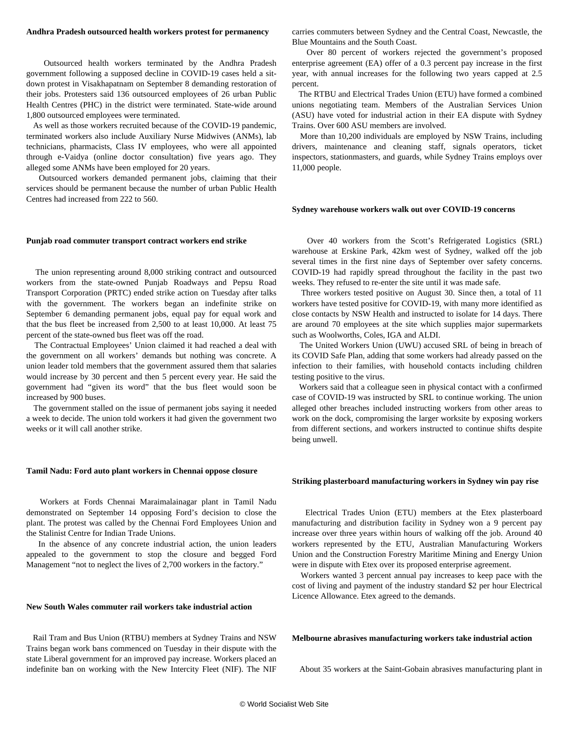## **Andhra Pradesh outsourced health workers protest for permanency**

 Outsourced health workers terminated by the Andhra Pradesh government following a supposed decline in COVID-19 cases held a sitdown protest in Visakhapatnam on September 8 demanding restoration of their jobs. Protesters said 136 outsourced employees of 26 urban Public Health Centres (PHC) in the district were terminated. State-wide around 1,800 outsourced employees were terminated.

 As well as those workers recruited because of the COVID-19 pandemic, terminated workers also include Auxiliary Nurse Midwives (ANMs), lab technicians, pharmacists, Class IV employees, who were all appointed through e-Vaidya (online doctor consultation) five years ago. They alleged some ANMs have been employed for 20 years.

 Outsourced workers demanded permanent jobs, claiming that their services should be permanent because the number of urban Public Health Centres had increased from 222 to 560.

#### **Punjab road commuter transport contract workers end strike**

 The union representing around 8,000 striking contract and outsourced workers from the state-owned Punjab Roadways and Pepsu Road Transport Corporation (PRTC) ended strike action on Tuesday after talks with the government. The workers began an indefinite strike on September 6 demanding permanent jobs, equal pay for equal work and that the bus fleet be increased from 2,500 to at least 10,000. At least 75 percent of the state-owned bus fleet was off the road.

 The Contractual Employees' Union claimed it had reached a deal with the government on all workers' demands but nothing was concrete. A union leader told members that the government assured them that salaries would increase by 30 percent and then 5 percent every year. He said the government had "given its word" that the bus fleet would soon be increased by 900 buses.

 The government stalled on the issue of permanent jobs saying it needed a week to decide. The union told workers it had given the government two weeks or it will call another strike.

#### **Tamil Nadu: Ford auto plant workers in Chennai oppose closure**

 Workers at Fords Chennai Maraimalainagar plant in Tamil Nadu demonstrated on September 14 opposing Ford's decision to close the plant. The protest was called by the Chennai Ford Employees Union and the Stalinist Centre for Indian Trade Unions.

 In the absence of any concrete industrial action, the union leaders appealed to the government to stop the closure and begged Ford Management "not to neglect the lives of 2,700 workers in the factory."

# **New South Wales commuter rail workers take industrial action**

 Rail Tram and Bus Union (RTBU) members at Sydney Trains and NSW Trains began work bans commenced on Tuesday in their dispute with the state Liberal government for an improved pay increase. Workers placed an indefinite ban on working with the New Intercity Fleet (NIF). The NIF carries commuters between Sydney and the Central Coast, Newcastle, the Blue Mountains and the South Coast.

 Over 80 percent of workers rejected the government's proposed enterprise agreement (EA) offer of a 0.3 percent pay increase in the first year, with annual increases for the following two years capped at 2.5 percent.

 The RTBU and Electrical Trades Union (ETU) have formed a combined unions negotiating team. Members of the Australian Services Union (ASU) have voted for industrial action in their EA dispute with Sydney Trains. Over 600 ASU members are involved.

 More than 10,200 individuals are employed by NSW Trains, including drivers, maintenance and cleaning staff, signals operators, ticket inspectors, stationmasters, and guards, while Sydney Trains employs over 11,000 people.

#### **Sydney warehouse workers walk out over COVID-19 concerns**

 Over 40 workers from the Scott's Refrigerated Logistics (SRL) warehouse at Erskine Park, 42km west of Sydney, walked off the job several times in the first nine days of September over safety concerns. COVID-19 had rapidly spread throughout the facility in the past two weeks. They refused to re-enter the site until it was made safe.

 Three workers tested positive on August 30. Since then, a total of 11 workers have tested positive for COVID-19, with many more identified as close contacts by NSW Health and instructed to isolate for 14 days. There are around 70 employees at the site which supplies major supermarkets such as Woolworths, Coles, IGA and ALDI.

 The United Workers Union (UWU) accused SRL of being in breach of its COVID Safe Plan, adding that some workers had already passed on the infection to their families, with household contacts including children testing positive to the virus.

 Workers said that a colleague seen in physical contact with a confirmed case of COVID-19 was instructed by SRL to continue working. The union alleged other breaches included instructing workers from other areas to work on the dock, compromising the larger worksite by exposing workers from different sections, and workers instructed to continue shifts despite being unwell.

#### **Striking plasterboard manufacturing workers in Sydney win pay rise**

 Electrical Trades Union (ETU) members at the Etex plasterboard manufacturing and distribution facility in Sydney won a 9 percent pay increase over three years within hours of walking off the job. Around 40 workers represented by the ETU, Australian Manufacturing Workers Union and the Construction Forestry Maritime Mining and Energy Union were in dispute with Etex over its proposed enterprise agreement.

 Workers wanted 3 percent annual pay increases to keep pace with the cost of living and payment of the industry standard \$2 per hour Electrical Licence Allowance. Etex agreed to the demands.

## **Melbourne abrasives manufacturing workers take industrial action**

About 35 workers at the Saint-Gobain abrasives manufacturing plant in